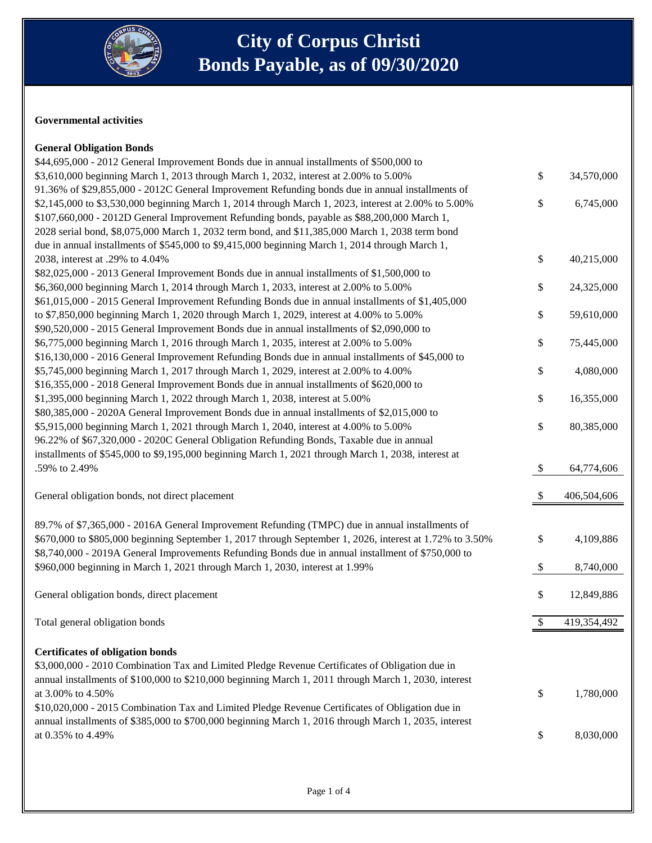

#### **Governmental activities**

### **General Obligation Bonds**

| \$44,695,000 - 2012 General Improvement Bonds due in annual installments of \$500,000 to                 |      |             |
|----------------------------------------------------------------------------------------------------------|------|-------------|
| \$3,610,000 beginning March 1, 2013 through March 1, 2032, interest at 2.00% to 5.00%                    | \$   | 34,570,000  |
| 91.36% of \$29,855,000 - 2012C General Improvement Refunding bonds due in annual installments of         |      |             |
| \$2,145,000 to \$3,530,000 beginning March 1, 2014 through March 1, 2023, interest at 2.00% to 5.00%     | \$   | 6,745,000   |
| \$107,660,000 - 2012D General Improvement Refunding bonds, payable as \$88,200,000 March 1,              |      |             |
| 2028 serial bond, \$8,075,000 March 1, 2032 term bond, and \$11,385,000 March 1, 2038 term bond          |      |             |
| due in annual installments of \$545,000 to \$9,415,000 beginning March 1, 2014 through March 1,          |      |             |
| 2038, interest at .29% to 4.04%                                                                          | \$   | 40,215,000  |
| \$82,025,000 - 2013 General Improvement Bonds due in annual installments of \$1,500,000 to               |      |             |
| \$6,360,000 beginning March 1, 2014 through March 1, 2033, interest at 2.00% to 5.00%                    | \$   | 24,325,000  |
| \$61,015,000 - 2015 General Improvement Refunding Bonds due in annual installments of \$1,405,000        |      |             |
| to \$7,850,000 beginning March 1, 2020 through March 1, 2029, interest at 4.00% to 5.00%                 | \$   | 59,610,000  |
| \$90,520,000 - 2015 General Improvement Bonds due in annual installments of \$2,090,000 to               |      |             |
| \$6,775,000 beginning March 1, 2016 through March 1, 2035, interest at 2.00% to 5.00%                    | \$   | 75,445,000  |
| \$16,130,000 - 2016 General Improvement Refunding Bonds due in annual installments of \$45,000 to        |      |             |
| \$5,745,000 beginning March 1, 2017 through March 1, 2029, interest at 2.00% to 4.00%                    | \$   | 4,080,000   |
| \$16,355,000 - 2018 General Improvement Bonds due in annual installments of \$620,000 to                 |      |             |
| \$1,395,000 beginning March 1, 2022 through March 1, 2038, interest at 5.00%                             | \$   | 16,355,000  |
| \$80,385,000 - 2020A General Improvement Bonds due in annual installments of \$2,015,000 to              |      |             |
| \$5,915,000 beginning March 1, 2021 through March 1, 2040, interest at 4.00% to 5.00%                    | $\$$ | 80,385,000  |
| 96.22% of \$67,320,000 - 2020C General Obligation Refunding Bonds, Taxable due in annual                 |      |             |
| installments of \$545,000 to \$9,195,000 beginning March 1, 2021 through March 1, 2038, interest at      |      |             |
| .59% to 2.49%                                                                                            | \$   | 64,774,606  |
|                                                                                                          |      |             |
| General obligation bonds, not direct placement                                                           | \$   | 406,504,606 |
|                                                                                                          |      |             |
| 89.7% of \$7,365,000 - 2016A General Improvement Refunding (TMPC) due in annual installments of          |      |             |
| \$670,000 to \$805,000 beginning September 1, 2017 through September 1, 2026, interest at 1.72% to 3.50% | \$   | 4,109,886   |
| \$8,740,000 - 2019A General Improvements Refunding Bonds due in annual installment of \$750,000 to       |      |             |
| \$960,000 beginning in March 1, 2021 through March 1, 2030, interest at 1.99%                            | \$   | 8,740,000   |
|                                                                                                          |      |             |
| General obligation bonds, direct placement                                                               | \$   | 12,849,886  |
|                                                                                                          |      |             |
| Total general obligation bonds                                                                           | \$   | 419,354,492 |
|                                                                                                          |      |             |
| <b>Certificates of obligation bonds</b>                                                                  |      |             |
| \$3,000,000 - 2010 Combination Tax and Limited Pledge Revenue Certificates of Obligation due in          |      |             |
| annual installments of \$100,000 to \$210,000 beginning March 1, 2011 through March 1, 2030, interest    |      |             |
| at 3.00% to 4.50%                                                                                        | \$   | 1,780,000   |
| \$10,020,000 - 2015 Combination Tax and Limited Pledge Revenue Certificates of Obligation due in         |      |             |
| annual installments of \$385,000 to \$700,000 beginning March 1, 2016 through March 1, 2035, interest    |      |             |
| at 0.35% to 4.49%                                                                                        | \$   | 8,030,000   |
|                                                                                                          |      |             |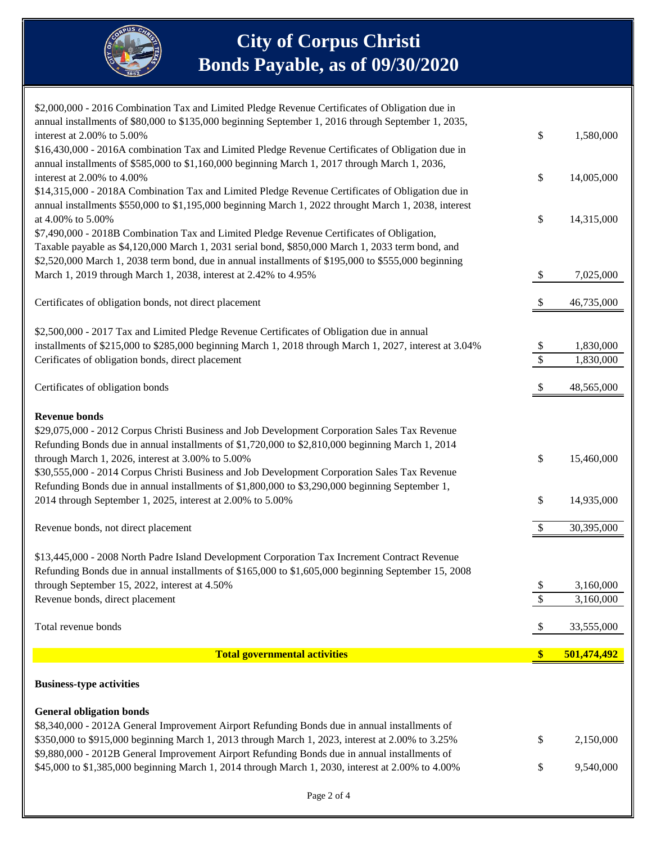

## **City of Corpus Christi Bonds Payable, as of 09/30/2020**

| \$2,000,000 - 2016 Combination Tax and Limited Pledge Revenue Certificates of Obligation due in                                                                                                   |                           |                        |
|---------------------------------------------------------------------------------------------------------------------------------------------------------------------------------------------------|---------------------------|------------------------|
| annual installments of \$80,000 to \$135,000 beginning September 1, 2016 through September 1, 2035,<br>interest at 2.00% to 5.00%                                                                 | \$                        | 1,580,000              |
| \$16,430,000 - 2016A combination Tax and Limited Pledge Revenue Certificates of Obligation due in                                                                                                 |                           |                        |
| annual installments of \$585,000 to \$1,160,000 beginning March 1, 2017 through March 1, 2036,                                                                                                    |                           |                        |
| interest at 2.00% to 4.00%                                                                                                                                                                        | \$                        | 14,005,000             |
| \$14,315,000 - 2018A Combination Tax and Limited Pledge Revenue Certificates of Obligation due in                                                                                                 |                           |                        |
| annual installments \$550,000 to \$1,195,000 beginning March 1, 2022 throught March 1, 2038, interest                                                                                             |                           |                        |
| at 4.00% to 5.00%<br>\$7,490,000 - 2018B Combination Tax and Limited Pledge Revenue Certificates of Obligation,                                                                                   | \$                        | 14,315,000             |
| Taxable payable as \$4,120,000 March 1, 2031 serial bond, \$850,000 March 1, 2033 term bond, and                                                                                                  |                           |                        |
| \$2,520,000 March 1, 2038 term bond, due in annual installments of \$195,000 to \$555,000 beginning                                                                                               |                           |                        |
| March 1, 2019 through March 1, 2038, interest at 2.42% to 4.95%                                                                                                                                   | $\mathcal{S}$             | 7,025,000              |
|                                                                                                                                                                                                   |                           |                        |
| Certificates of obligation bonds, not direct placement                                                                                                                                            | -S                        | 46,735,000             |
| \$2,500,000 - 2017 Tax and Limited Pledge Revenue Certificates of Obligation due in annual                                                                                                        |                           |                        |
| installments of \$215,000 to \$285,000 beginning March 1, 2018 through March 1, 2027, interest at 3.04%                                                                                           | $\boldsymbol{\mathsf{S}}$ | 1,830,000              |
| Cerificates of obligation bonds, direct placement                                                                                                                                                 | $\sqrt{\frac{2}{\pi}}$    | 1,830,000              |
| Certificates of obligation bonds                                                                                                                                                                  | \$                        | 48,565,000             |
|                                                                                                                                                                                                   |                           |                        |
| <b>Revenue bonds</b>                                                                                                                                                                              |                           |                        |
| \$29,075,000 - 2012 Corpus Christi Business and Job Development Corporation Sales Tax Revenue<br>Refunding Bonds due in annual installments of \$1,720,000 to \$2,810,000 beginning March 1, 2014 |                           |                        |
| through March 1, 2026, interest at $3.00\%$ to $5.00\%$                                                                                                                                           | \$                        | 15,460,000             |
| \$30,555,000 - 2014 Corpus Christi Business and Job Development Corporation Sales Tax Revenue                                                                                                     |                           |                        |
| Refunding Bonds due in annual installments of \$1,800,000 to \$3,290,000 beginning September 1,                                                                                                   |                           |                        |
| 2014 through September 1, 2025, interest at 2.00% to 5.00%                                                                                                                                        | \$                        | 14,935,000             |
| Revenue bonds, not direct placement                                                                                                                                                               | \$                        | 30,395,000             |
|                                                                                                                                                                                                   |                           |                        |
| \$13,445,000 - 2008 North Padre Island Development Corporation Tax Increment Contract Revenue                                                                                                     |                           |                        |
| Refunding Bonds due in annual installments of \$165,000 to \$1,605,000 beginning September 15, 2008                                                                                               |                           |                        |
| through September 15, 2022, interest at 4.50%<br>Revenue bonds, direct placement                                                                                                                  | \$<br>\$                  | 3,160,000<br>3,160,000 |
|                                                                                                                                                                                                   |                           |                        |
| Total revenue bonds                                                                                                                                                                               | $\mathcal{S}$             | 33,555,000             |
| <b>Total governmental activities</b>                                                                                                                                                              | $\frac{1}{2}$             | 501,474,492            |
| <b>Business-type activities</b>                                                                                                                                                                   |                           |                        |
|                                                                                                                                                                                                   |                           |                        |
| <b>General obligation bonds</b><br>\$8,340,000 - 2012A General Improvement Airport Refunding Bonds due in annual installments of                                                                  |                           |                        |
| \$350,000 to \$915,000 beginning March 1, 2013 through March 1, 2023, interest at 2.00% to 3.25%                                                                                                  | \$                        | 2,150,000              |
| \$9,880,000 - 2012B General Improvement Airport Refunding Bonds due in annual installments of                                                                                                     |                           |                        |
| \$45,000 to \$1,385,000 beginning March 1, 2014 through March 1, 2030, interest at 2.00% to 4.00%                                                                                                 | \$                        | 9,540,000              |
|                                                                                                                                                                                                   |                           |                        |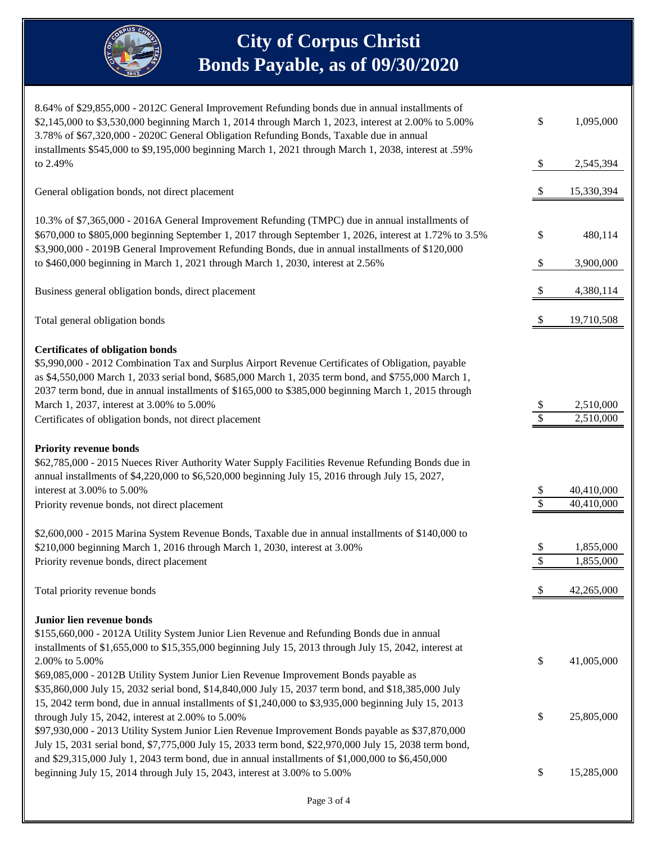

# **City of Corpus Christi Bonds Payable, as of 09/30/2020**

| 8.64% of \$29,855,000 - 2012C General Improvement Refunding bonds due in annual installments of<br>\$2,145,000 to \$3,530,000 beginning March 1, 2014 through March 1, 2023, interest at 2.00% to 5.00%<br>3.78% of \$67,320,000 - 2020C General Obligation Refunding Bonds, Taxable due in annual<br>installments \$545,000 to \$9,195,000 beginning March 1, 2021 through March 1, 2038, interest at .59%                                                                                                                                                | \$                        | 1,095,000                |
|------------------------------------------------------------------------------------------------------------------------------------------------------------------------------------------------------------------------------------------------------------------------------------------------------------------------------------------------------------------------------------------------------------------------------------------------------------------------------------------------------------------------------------------------------------|---------------------------|--------------------------|
| to 2.49%                                                                                                                                                                                                                                                                                                                                                                                                                                                                                                                                                   | $\boldsymbol{\mathsf{S}}$ | 2,545,394                |
| General obligation bonds, not direct placement                                                                                                                                                                                                                                                                                                                                                                                                                                                                                                             | \$                        | 15,330,394               |
| 10.3% of \$7,365,000 - 2016A General Improvement Refunding (TMPC) due in annual installments of<br>\$670,000 to \$805,000 beginning September 1, 2017 through September 1, 2026, interest at 1.72% to 3.5%<br>\$3,900,000 - 2019B General Improvement Refunding Bonds, due in annual installments of \$120,000                                                                                                                                                                                                                                             | \$                        | 480,114                  |
| to \$460,000 beginning in March 1, 2021 through March 1, 2030, interest at 2.56%                                                                                                                                                                                                                                                                                                                                                                                                                                                                           | $\boldsymbol{\mathsf{S}}$ | 3,900,000                |
| Business general obligation bonds, direct placement                                                                                                                                                                                                                                                                                                                                                                                                                                                                                                        | -S                        | 4,380,114                |
| Total general obligation bonds                                                                                                                                                                                                                                                                                                                                                                                                                                                                                                                             |                           | 19,710,508               |
| <b>Certificates of obligation bonds</b><br>\$5,990,000 - 2012 Combination Tax and Surplus Airport Revenue Certificates of Obligation, payable<br>as \$4,550,000 March 1, 2033 serial bond, \$685,000 March 1, 2035 term bond, and \$755,000 March 1,<br>2037 term bond, due in annual installments of \$165,000 to \$385,000 beginning March 1, 2015 through<br>March 1, 2037, interest at 3.00% to 5.00%<br>Certificates of obligation bonds, not direct placement                                                                                        | <sup>2</sup><br>\$        | 2,510,000<br>2,510,000   |
| <b>Priority revenue bonds</b><br>\$62,785,000 - 2015 Nueces River Authority Water Supply Facilities Revenue Refunding Bonds due in<br>annual installments of \$4,220,000 to \$6,520,000 beginning July 15, 2016 through July 15, 2027,<br>interest at 3.00% to 5.00%<br>Priority revenue bonds, not direct placement                                                                                                                                                                                                                                       | \$<br>\$                  | 40,410,000<br>40,410,000 |
| \$2,600,000 - 2015 Marina System Revenue Bonds, Taxable due in annual installments of \$140,000 to<br>\$210,000 beginning March 1, 2016 through March 1, 2030, interest at 3.00%<br>Priority revenue bonds, direct placement                                                                                                                                                                                                                                                                                                                               | \$<br>\$                  | 1,855,000<br>1,855,000   |
| Total priority revenue bonds                                                                                                                                                                                                                                                                                                                                                                                                                                                                                                                               | \$                        | 42,265,000               |
| Junior lien revenue bonds<br>\$155,660,000 - 2012A Utility System Junior Lien Revenue and Refunding Bonds due in annual<br>installments of \$1,655,000 to \$15,355,000 beginning July 15, 2013 through July 15, 2042, interest at<br>2.00% to 5.00%<br>\$69,085,000 - 2012B Utility System Junior Lien Revenue Improvement Bonds payable as<br>\$35,860,000 July 15, 2032 serial bond, \$14,840,000 July 15, 2037 term bond, and \$18,385,000 July<br>15, 2042 term bond, due in annual installments of \$1,240,000 to \$3,935,000 beginning July 15, 2013 | \$                        | 41,005,000               |
| through July 15, 2042, interest at $2.00\%$ to $5.00\%$<br>\$97,930,000 - 2013 Utility System Junior Lien Revenue Improvement Bonds payable as \$37,870,000<br>July 15, 2031 serial bond, \$7,775,000 July 15, 2033 term bond, \$22,970,000 July 15, 2038 term bond,<br>and \$29,315,000 July 1, 2043 term bond, due in annual installments of \$1,000,000 to \$6,450,000<br>beginning July 15, 2014 through July 15, 2043, interest at 3.00% to 5.00%                                                                                                     | \$<br>\$                  | 25,805,000<br>15,285,000 |
|                                                                                                                                                                                                                                                                                                                                                                                                                                                                                                                                                            |                           |                          |